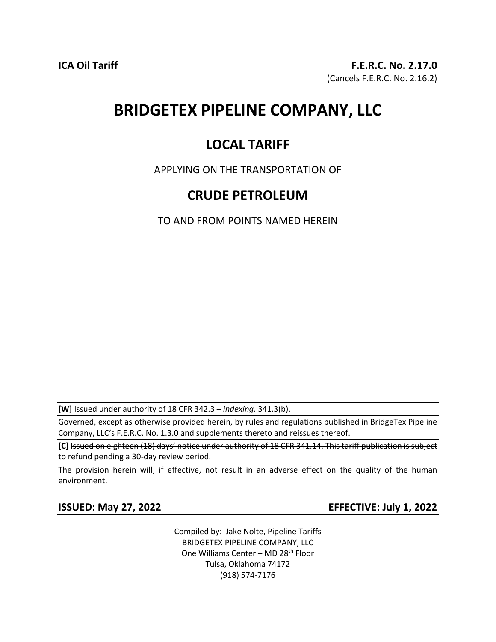# **BRIDGETEX PIPELINE COMPANY, LLC**

## **LOCAL TARIFF**

APPLYING ON THE TRANSPORTATION OF

### **CRUDE PETROLEUM**

TO AND FROM POINTS NAMED HEREIN

**[W]** Issued under authority of 18 CFR 342.3 – *indexing.* 341.3(b).

Governed, except as otherwise provided herein, by rules and regulations published in BridgeTex Pipeline Company, LLC's F.E.R.C. No. 1.3.0 and supplements thereto and reissues thereof.

**[C]** Issued on eighteen (18) days' notice under authority of 18 CFR 341.14. This tariff publication is subject to refund pending a 30-day review period.

The provision herein will, if effective, not result in an adverse effect on the quality of the human environment.

**ISSUED: May 27, 2022 EFFECTIVE: July 1, 2022**

Compiled by: Jake Nolte, Pipeline Tariffs BRIDGETEX PIPELINE COMPANY, LLC One Williams Center - MD 28<sup>th</sup> Floor Tulsa, Oklahoma 74172 (918) 574-7176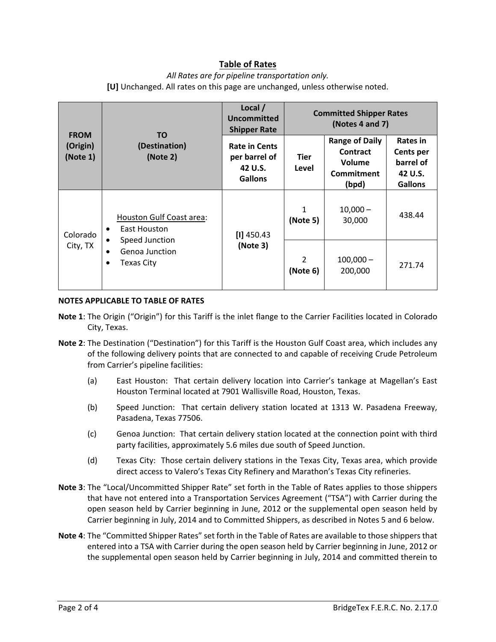### **Table of Rates**

#### *All Rates are for pipeline transportation only.* **[U]** Unchanged. All rates on this page are unchanged, unless otherwise noted.

| <b>FROM</b><br>(Origin)<br>(Note 1) | TO.<br>(Destination)<br>(Note 2)                                                                | Local /<br>Uncommitted<br><b>Shipper Rate</b>                      | <b>Committed Shipper Rates</b><br>(Notes 4 and 7) |                                                                           |                                                                 |
|-------------------------------------|-------------------------------------------------------------------------------------------------|--------------------------------------------------------------------|---------------------------------------------------|---------------------------------------------------------------------------|-----------------------------------------------------------------|
|                                     |                                                                                                 | <b>Rate in Cents</b><br>per barrel of<br>42 U.S.<br><b>Gallons</b> | <b>Tier</b><br>Level                              | <b>Range of Daily</b><br>Contract<br>Volume<br><b>Commitment</b><br>(bpd) | Rates in<br>Cents per<br>barrel of<br>42 U.S.<br><b>Gallons</b> |
| Colorado<br>City, TX                | Houston Gulf Coast area:<br>East Houston<br>٠<br>Speed Junction<br>Genoa Junction<br>Texas City | $[1]$ 450.43<br>(Note 3)                                           | 1<br>(Note 5)                                     | $10,000 -$<br>30,000                                                      | 438.44                                                          |
|                                     |                                                                                                 |                                                                    | $\mathcal{P}$<br>(Note 6)                         | $100,000 -$<br>200,000                                                    | 271.74                                                          |

#### **NOTES APPLICABLE TO TABLE OF RATES**

- **Note 1**: The Origin ("Origin") for this Tariff is the inlet flange to the Carrier Facilities located in Colorado City, Texas.
- **Note 2**: The Destination ("Destination") for this Tariff is the Houston Gulf Coast area, which includes any of the following delivery points that are connected to and capable of receiving Crude Petroleum from Carrier's pipeline facilities:
	- (a) East Houston: That certain delivery location into Carrier's tankage at Magellan's East Houston Terminal located at 7901 Wallisville Road, Houston, Texas.
	- (b) Speed Junction: That certain delivery station located at 1313 W. Pasadena Freeway, Pasadena, Texas 77506.
	- (c) Genoa Junction: That certain delivery station located at the connection point with third party facilities, approximately 5.6 miles due south of Speed Junction.
	- (d) Texas City: Those certain delivery stations in the Texas City, Texas area, which provide direct access to Valero's Texas City Refinery and Marathon's Texas City refineries.
- **Note 3**: The "Local/Uncommitted Shipper Rate" set forth in the Table of Rates applies to those shippers that have not entered into a Transportation Services Agreement ("TSA") with Carrier during the open season held by Carrier beginning in June, 2012 or the supplemental open season held by Carrier beginning in July, 2014 and to Committed Shippers, as described in Notes 5 and 6 below.
- **Note 4**: The "Committed Shipper Rates" set forth in the Table of Rates are available to those shippers that entered into a TSA with Carrier during the open season held by Carrier beginning in June, 2012 or the supplemental open season held by Carrier beginning in July, 2014 and committed therein to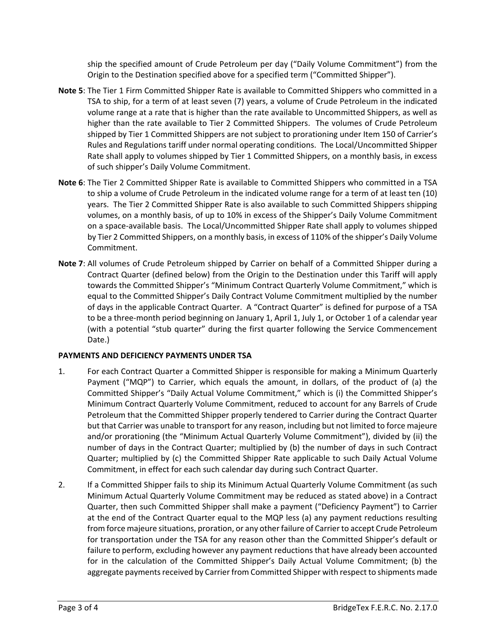ship the specified amount of Crude Petroleum per day ("Daily Volume Commitment") from the Origin to the Destination specified above for a specified term ("Committed Shipper").

- **Note 5**: The Tier 1 Firm Committed Shipper Rate is available to Committed Shippers who committed in a TSA to ship, for a term of at least seven (7) years, a volume of Crude Petroleum in the indicated volume range at a rate that is higher than the rate available to Uncommitted Shippers, as well as higher than the rate available to Tier 2 Committed Shippers. The volumes of Crude Petroleum shipped by Tier 1 Committed Shippers are not subject to prorationing under Item 150 of Carrier's Rules and Regulations tariff under normal operating conditions. The Local/Uncommitted Shipper Rate shall apply to volumes shipped by Tier 1 Committed Shippers, on a monthly basis, in excess of such shipper's Daily Volume Commitment.
- **Note 6**: The Tier 2 Committed Shipper Rate is available to Committed Shippers who committed in a TSA to ship a volume of Crude Petroleum in the indicated volume range for a term of at least ten (10) years. The Tier 2 Committed Shipper Rate is also available to such Committed Shippers shipping volumes, on a monthly basis, of up to 10% in excess of the Shipper's Daily Volume Commitment on a space-available basis. The Local/Uncommitted Shipper Rate shall apply to volumes shipped by Tier 2 Committed Shippers, on a monthly basis, in excess of 110% of the shipper's Daily Volume Commitment.
- **Note 7**: All volumes of Crude Petroleum shipped by Carrier on behalf of a Committed Shipper during a Contract Quarter (defined below) from the Origin to the Destination under this Tariff will apply towards the Committed Shipper's "Minimum Contract Quarterly Volume Commitment," which is equal to the Committed Shipper's Daily Contract Volume Commitment multiplied by the number of days in the applicable Contract Quarter. A "Contract Quarter" is defined for purpose of a TSA to be a three-month period beginning on January 1, April 1, July 1, or October 1 of a calendar year (with a potential "stub quarter" during the first quarter following the Service Commencement Date.)

#### **PAYMENTS AND DEFICIENCY PAYMENTS UNDER TSA**

- 1. For each Contract Quarter a Committed Shipper is responsible for making a Minimum Quarterly Payment ("MQP") to Carrier, which equals the amount, in dollars, of the product of (a) the Committed Shipper's "Daily Actual Volume Commitment," which is (i) the Committed Shipper's Minimum Contract Quarterly Volume Commitment, reduced to account for any Barrels of Crude Petroleum that the Committed Shipper properly tendered to Carrier during the Contract Quarter but that Carrier was unable to transport for any reason, including but not limited to force majeure and/or prorationing (the "Minimum Actual Quarterly Volume Commitment"), divided by (ii) the number of days in the Contract Quarter; multiplied by (b) the number of days in such Contract Quarter; multiplied by (c) the Committed Shipper Rate applicable to such Daily Actual Volume Commitment, in effect for each such calendar day during such Contract Quarter.
- 2. If a Committed Shipper fails to ship its Minimum Actual Quarterly Volume Commitment (as such Minimum Actual Quarterly Volume Commitment may be reduced as stated above) in a Contract Quarter, then such Committed Shipper shall make a payment ("Deficiency Payment") to Carrier at the end of the Contract Quarter equal to the MQP less (a) any payment reductions resulting from force majeure situations, proration, or any other failure of Carrier to accept Crude Petroleum for transportation under the TSA for any reason other than the Committed Shipper's default or failure to perform, excluding however any payment reductions that have already been accounted for in the calculation of the Committed Shipper's Daily Actual Volume Commitment; (b) the aggregate payments received by Carrier from Committed Shipper with respect to shipments made